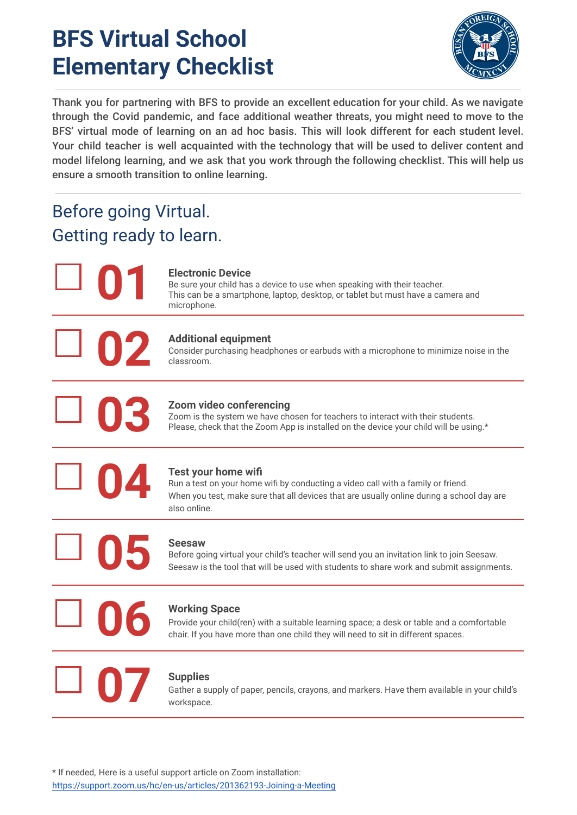## **BFS Virtual School Elementary Checklist**



Thank you for partnering with BFS to provide an excellent education for your child. As we navigate through the Covid pandemic, and face additional weather threats, you might need to move to the BFS' virtual mode of learning on an ad hoc basis. This will look different for each student level. Your child teacher is well acquainted with the technology that will be used to deliver content and model lifelong learning, and we ask that you work through the following checklist. This will help us ensure a smooth transition to online learning.

## Before going Virtual. Getting ready to learn.

**01**

**02**

**03**

#### **Electronic Device**

Be sure your child has a device to use when speaking with their teacher. This can be a smartphone, laptop, desktop, or tablet but must have a camera and microphone.

#### **Additional equipment**

Consider purchasing headphones or earbuds with a microphone to minimize noise in the classroom.

#### **Zoom video conferencing**

Zoom is the system we have chosen for teachers to interact with their students. Please, check that the Zoom App is installed on the device your child will be using.\*



#### **Test your home wifi**

Run a test on your home wifi by conducting a video call with a family or friend. When you test, make sure that all devices that are usually online during a school day are also online.

## **05**

**06**

**07**

#### **Seesaw**

Before going virtual your child's teacher will send you an invitation link to join Seesaw. Seesaw is the tool that will be used with students to share work and submit assignments.

#### **Working Space**

Provide your child(ren) with a suitable learning space; a desk or table and a comfortable chair. If you have more than one child they will need to sit in different spaces.

#### **Supplies**

Gather a supply of paper, pencils, crayons, and markers. Have them available in your child's workspace.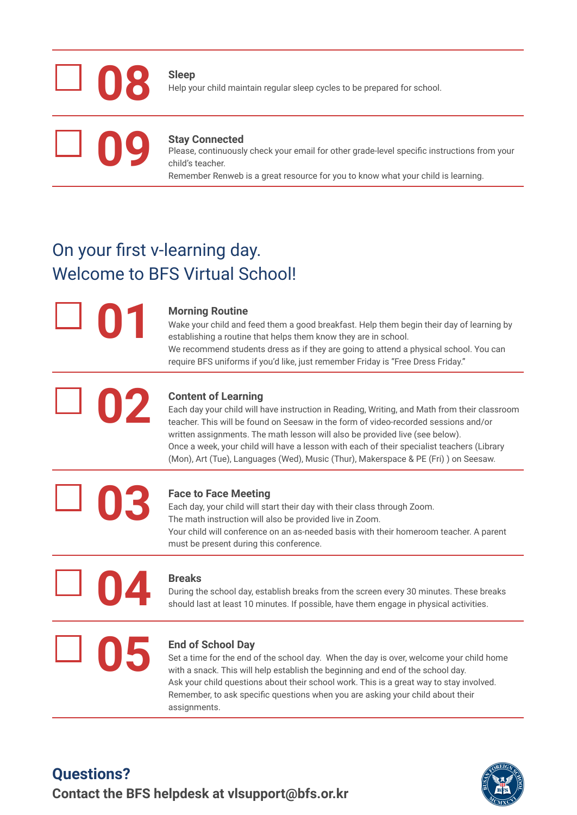# **08**

**Sleep** Help your child maintain regular sleep cycles to be prepared for school.

## **09**

#### **Stay Connected**

Please, continuously check your email for other grade-level specific instructions from your child's teacher.

Remember Renweb is a great resource for you to know what your child is learning.

## On your first v-learning day. Welcome to BFS Virtual School!

**01**

#### **Morning Routine**

Wake your child and feed them a good breakfast. Help them begin their day of learning by establishing a routine that helps them know they are in school. We recommend students dress as if they are going to attend a physical school. You can require BFS uniforms if you'd like, just remember Friday is "Free Dress Friday."

## **02 Content of Learning**

Each day your child will have instruction in Reading, Writing, and Math from their classroom teacher. This will be found on Seesaw in the form of video-recorded sessions and/or written assignments. The math lesson will also be provided live (see below). Once a week, your child will have a lesson with each of their specialist teachers (Library (Mon), Art (Tue), Languages (Wed), Music (Thur), Makerspace & PE (Fri) ) on Seesaw.

#### **Face to Face Meeting**

Each day, your child will start their day with their class through Zoom. The math instruction will also be provided live in Zoom. Your child will conference on an as-needed basis with their homeroom teacher. A parent must be present during this conference.

## **04**

**03**

#### **Breaks**

During the school day, establish breaks from the screen every 30 minutes. These breaks should last at least 10 minutes. If possible, have them engage in physical activities.

## **05 End of School Day**

Set a time for the end of the school day. When the day is over, welcome your child home with a snack. This will help establish the beginning and end of the school day. Ask your child questions about their school work. This is a great way to stay involved. Remember, to ask specific questions when you are asking your child about their assignments.